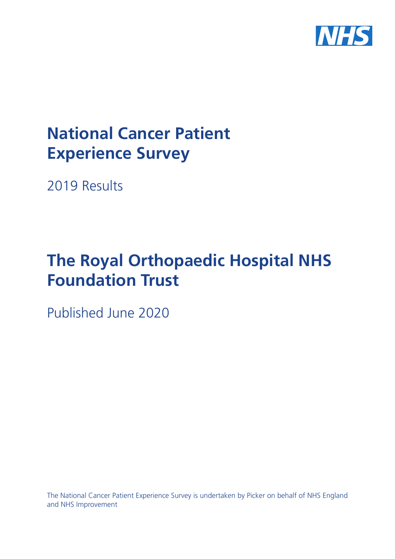

# **National Cancer Patient Experience Survey**

2019 Results

# **The Royal Orthopaedic Hospital NHS Foundation Trust**

Published June 2020

The National Cancer Patient Experience Survey is undertaken by Picker on behalf of NHS England and NHS Improvement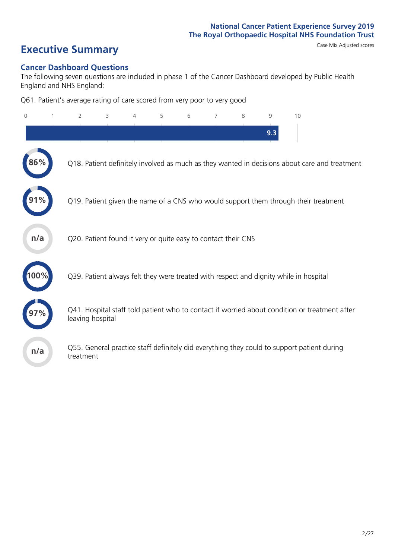# **Executive Summary** Case Mix Adjusted scores

### **Cancer Dashboard Questions**

The following seven questions are included in phase 1 of the Cancer Dashboard developed by Public Health England and NHS England:

Q61. Patient's average rating of care scored from very poor to very good

| 0   | 1 | $\overline{2}$                                                | 3 | 4 | 5 | 6 | 7 | 8 | 9   | 10                                                                                            |
|-----|---|---------------------------------------------------------------|---|---|---|---|---|---|-----|-----------------------------------------------------------------------------------------------|
|     |   |                                                               |   |   |   |   |   |   | 9.3 |                                                                                               |
| 86% |   |                                                               |   |   |   |   |   |   |     | Q18. Patient definitely involved as much as they wanted in decisions about care and treatment |
|     |   |                                                               |   |   |   |   |   |   |     | Q19. Patient given the name of a CNS who would support them through their treatment           |
| n/a |   | Q20. Patient found it very or quite easy to contact their CNS |   |   |   |   |   |   |     |                                                                                               |
|     |   |                                                               |   |   |   |   |   |   |     | Q39. Patient always felt they were treated with respect and dignity while in hospital         |
|     |   | leaving hospital                                              |   |   |   |   |   |   |     | Q41. Hospital staff told patient who to contact if worried about condition or treatment after |
| n/a |   | treatment                                                     |   |   |   |   |   |   |     | Q55. General practice staff definitely did everything they could to support patient during    |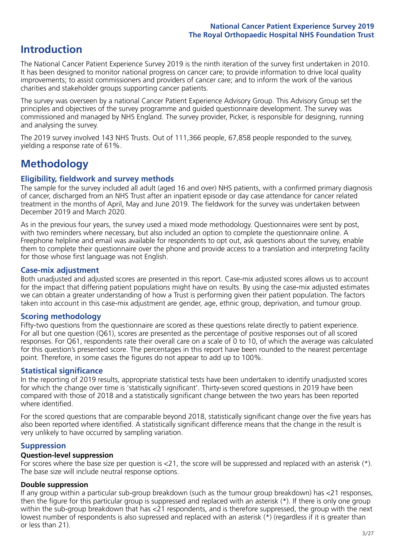### **Introduction**

The National Cancer Patient Experience Survey 2019 is the ninth iteration of the survey first undertaken in 2010. It has been designed to monitor national progress on cancer care; to provide information to drive local quality improvements; to assist commissioners and providers of cancer care; and to inform the work of the various charities and stakeholder groups supporting cancer patients.

The survey was overseen by a national Cancer Patient Experience Advisory Group. This Advisory Group set the principles and objectives of the survey programme and guided questionnaire development. The survey was commissioned and managed by NHS England. The survey provider, Picker, is responsible for designing, running and analysing the survey.

The 2019 survey involved 143 NHS Trusts. Out of 111,366 people, 67,858 people responded to the survey, yielding a response rate of 61%.

### **Methodology**

### **Eligibility, eldwork and survey methods**

The sample for the survey included all adult (aged 16 and over) NHS patients, with a confirmed primary diagnosis of cancer, discharged from an NHS Trust after an inpatient episode or day case attendance for cancer related treatment in the months of April, May and June 2019. The fieldwork for the survey was undertaken between December 2019 and March 2020.

As in the previous four years, the survey used a mixed mode methodology. Questionnaires were sent by post, with two reminders where necessary, but also included an option to complete the questionnaire online. A Freephone helpline and email was available for respondents to opt out, ask questions about the survey, enable them to complete their questionnaire over the phone and provide access to a translation and interpreting facility for those whose first language was not English.

### **Case-mix adjustment**

Both unadjusted and adjusted scores are presented in this report. Case-mix adjusted scores allows us to account for the impact that differing patient populations might have on results. By using the case-mix adjusted estimates we can obtain a greater understanding of how a Trust is performing given their patient population. The factors taken into account in this case-mix adjustment are gender, age, ethnic group, deprivation, and tumour group.

### **Scoring methodology**

Fifty-two questions from the questionnaire are scored as these questions relate directly to patient experience. For all but one question (Q61), scores are presented as the percentage of positive responses out of all scored responses. For Q61, respondents rate their overall care on a scale of 0 to 10, of which the average was calculated for this question's presented score. The percentages in this report have been rounded to the nearest percentage point. Therefore, in some cases the figures do not appear to add up to 100%.

### **Statistical significance**

In the reporting of 2019 results, appropriate statistical tests have been undertaken to identify unadjusted scores for which the change over time is 'statistically significant'. Thirty-seven scored questions in 2019 have been compared with those of 2018 and a statistically significant change between the two years has been reported where identified.

For the scored questions that are comparable beyond 2018, statistically significant change over the five years has also been reported where identified. A statistically significant difference means that the change in the result is very unlikely to have occurred by sampling variation.

### **Suppression**

### **Question-level suppression**

For scores where the base size per question is  $<$ 21, the score will be suppressed and replaced with an asterisk (\*). The base size will include neutral response options.

### **Double suppression**

If any group within a particular sub-group breakdown (such as the tumour group breakdown) has <21 responses, then the figure for this particular group is suppressed and replaced with an asterisk (\*). If there is only one group within the sub-group breakdown that has <21 respondents, and is therefore suppressed, the group with the next lowest number of respondents is also supressed and replaced with an asterisk (\*) (regardless if it is greater than or less than 21).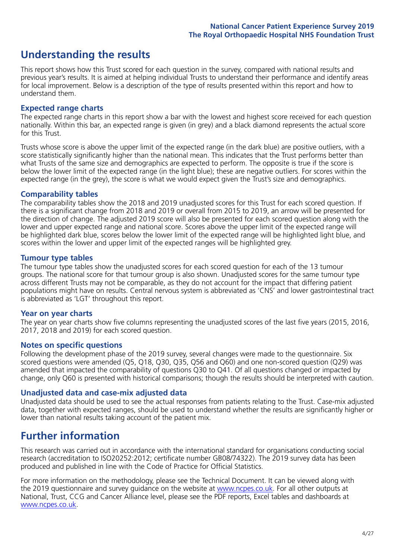### **Understanding the results**

This report shows how this Trust scored for each question in the survey, compared with national results and previous year's results. It is aimed at helping individual Trusts to understand their performance and identify areas for local improvement. Below is a description of the type of results presented within this report and how to understand them.

### **Expected range charts**

The expected range charts in this report show a bar with the lowest and highest score received for each question nationally. Within this bar, an expected range is given (in grey) and a black diamond represents the actual score for this Trust.

Trusts whose score is above the upper limit of the expected range (in the dark blue) are positive outliers, with a score statistically significantly higher than the national mean. This indicates that the Trust performs better than what Trusts of the same size and demographics are expected to perform. The opposite is true if the score is below the lower limit of the expected range (in the light blue); these are negative outliers. For scores within the expected range (in the grey), the score is what we would expect given the Trust's size and demographics.

### **Comparability tables**

The comparability tables show the 2018 and 2019 unadjusted scores for this Trust for each scored question. If there is a significant change from 2018 and 2019 or overall from 2015 to 2019, an arrow will be presented for the direction of change. The adjusted 2019 score will also be presented for each scored question along with the lower and upper expected range and national score. Scores above the upper limit of the expected range will be highlighted dark blue, scores below the lower limit of the expected range will be highlighted light blue, and scores within the lower and upper limit of the expected ranges will be highlighted grey.

### **Tumour type tables**

The tumour type tables show the unadjusted scores for each scored question for each of the 13 tumour groups. The national score for that tumour group is also shown. Unadjusted scores for the same tumour type across different Trusts may not be comparable, as they do not account for the impact that differing patient populations might have on results. Central nervous system is abbreviated as 'CNS' and lower gastrointestinal tract is abbreviated as 'LGT' throughout this report.

### **Year on year charts**

The year on year charts show five columns representing the unadjusted scores of the last five years (2015, 2016, 2017, 2018 and 2019) for each scored question.

### **Notes on specific questions**

Following the development phase of the 2019 survey, several changes were made to the questionnaire. Six scored questions were amended (Q5, Q18, Q30, Q35, Q56 and Q60) and one non-scored question (Q29) was amended that impacted the comparability of questions Q30 to Q41. Of all questions changed or impacted by change, only Q60 is presented with historical comparisons; though the results should be interpreted with caution.

### **Unadjusted data and case-mix adjusted data**

Unadjusted data should be used to see the actual responses from patients relating to the Trust. Case-mix adjusted data, together with expected ranges, should be used to understand whether the results are significantly higher or lower than national results taking account of the patient mix.

### **Further information**

This research was carried out in accordance with the international standard for organisations conducting social research (accreditation to ISO20252:2012; certificate number GB08/74322). The 2019 survey data has been produced and published in line with the Code of Practice for Official Statistics.

For more information on the methodology, please see the Technical Document. It can be viewed along with the 2019 questionnaire and survey quidance on the website at [www.ncpes.co.uk](https://www.ncpes.co.uk/supporting-documents). For all other outputs at National, Trust, CCG and Cancer Alliance level, please see the PDF reports, Excel tables and dashboards at [www.ncpes.co.uk.](https://www.ncpes.co.uk/current-results)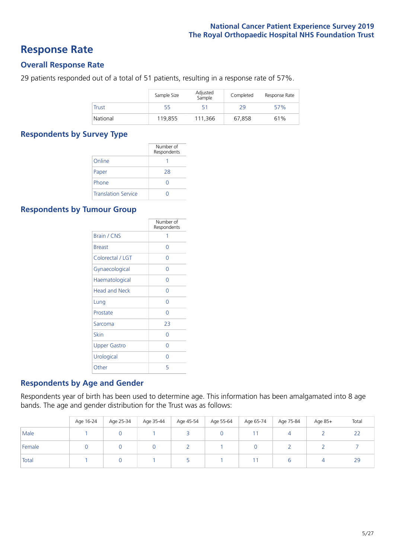### **Response Rate**

### **Overall Response Rate**

29 patients responded out of a total of 51 patients, resulting in a response rate of 57%.

|              | Sample Size | Adjusted<br>Sample | Completed | Response Rate |
|--------------|-------------|--------------------|-----------|---------------|
| <b>Trust</b> | 55          | 51                 | 29        | 57%           |
| National     | 119.855     | 111.366            | 67.858    | 61%           |

### **Respondents by Survey Type**

|                            | Number of<br>Respondents |
|----------------------------|--------------------------|
| Online                     |                          |
| Paper                      | 28                       |
| Phone                      |                          |
| <b>Translation Service</b> |                          |

### **Respondents by Tumour Group**

|                      | Number of<br>Respondents |
|----------------------|--------------------------|
| <b>Brain / CNS</b>   | 1                        |
| <b>Breast</b>        | Ω                        |
| Colorectal / LGT     | Ω                        |
| Gynaecological       | 0                        |
| Haematological       | Ω                        |
| <b>Head and Neck</b> | Ω                        |
| Lung                 | Ω                        |
| Prostate             | O                        |
| Sarcoma              | 23                       |
| Skin                 | Ω                        |
| <b>Upper Gastro</b>  | ∩                        |
| Urological           | Ω                        |
| Other                | 5                        |

### **Respondents by Age and Gender**

Respondents year of birth has been used to determine age. This information has been amalgamated into 8 age bands. The age and gender distribution for the Trust was as follows:

|        | Age 16-24 | Age 25-34 | Age 35-44 | Age 45-54 | Age 55-64 | Age 65-74 | Age 75-84 | Age 85+ | Total               |
|--------|-----------|-----------|-----------|-----------|-----------|-----------|-----------|---------|---------------------|
| Male   |           |           |           |           |           |           |           |         | $\sim$ $\sim$<br>LL |
| Female |           |           |           |           |           |           |           |         |                     |
| Total  |           |           |           |           |           |           | b         |         | 29                  |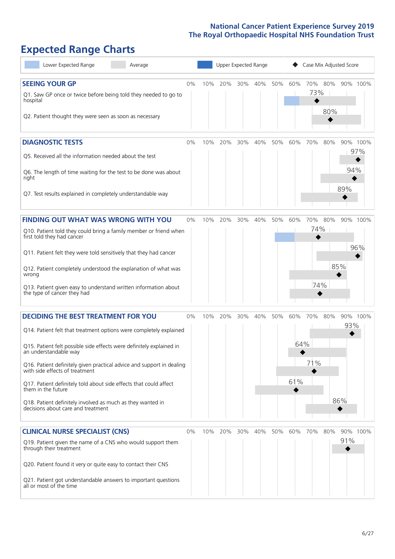## **Expected Range Charts**

| Lower Expected Range<br>Average                                                                                                                                                                                                                                                                                                                                                                                                                                                                                             |    |     | Upper Expected Range |     |     |     |                   | Case Mix Adjusted Score  |                               |
|-----------------------------------------------------------------------------------------------------------------------------------------------------------------------------------------------------------------------------------------------------------------------------------------------------------------------------------------------------------------------------------------------------------------------------------------------------------------------------------------------------------------------------|----|-----|----------------------|-----|-----|-----|-------------------|--------------------------|-------------------------------|
| <b>SEEING YOUR GP</b><br>Q1. Saw GP once or twice before being told they needed to go to<br>hospital<br>Q2. Patient thought they were seen as soon as necessary                                                                                                                                                                                                                                                                                                                                                             | 0% | 10% | 20%                  | 30% | 40% | 50% | 60%               | 70%<br>80%<br>73%<br>80% | 90% 100%                      |
| <b>DIAGNOSTIC TESTS</b><br>Q5. Received all the information needed about the test<br>Q6. The length of time waiting for the test to be done was about<br>right<br>Q7. Test results explained in completely understandable way                                                                                                                                                                                                                                                                                               | 0% | 10% | 20%                  | 30% | 40% | 50% | 60%               | 70%<br>80%               | 90% 100%<br>97%<br>94%<br>89% |
| <b>FINDING OUT WHAT WAS WRONG WITH YOU</b><br>Q10. Patient told they could bring a family member or friend when<br>first told they had cancer<br>Q11. Patient felt they were told sensitively that they had cancer<br>Q12. Patient completely understood the explanation of what was<br>wrong<br>Q13. Patient given easy to understand written information about<br>the type of cancer they had                                                                                                                             | 0% | 10% | 20%                  | 30% | 40% | 50% | 60%               | 70%<br>80%<br>74%<br>74% | 90% 100%<br>96%<br>85%        |
| <b>DECIDING THE BEST TREATMENT FOR YOU</b><br>Q14. Patient felt that treatment options were completely explained<br>Q15. Patient felt possible side effects were definitely explained in<br>an understandable way<br>Q16. Patient definitely given practical advice and support in dealing<br>with side effects of treatment<br>Q17. Patient definitely told about side effects that could affect<br>them in the future<br>Q18. Patient definitely involved as much as they wanted in<br>decisions about care and treatment | 0% | 10% | 20%                  | 30% | 40% | 50% | 60%<br>64%<br>61% | 70%<br>80%<br>71%        | 90% 100%<br>93%<br>86%        |
| <b>CLINICAL NURSE SPECIALIST (CNS)</b><br>Q19. Patient given the name of a CNS who would support them<br>through their treatment<br>Q20. Patient found it very or quite easy to contact their CNS<br>Q21. Patient got understandable answers to important questions<br>all or most of the time                                                                                                                                                                                                                              | 0% |     | 10% 20%              | 30% | 40% | 50% | 60%               | 70%<br>80%               | 90% 100%<br>91%               |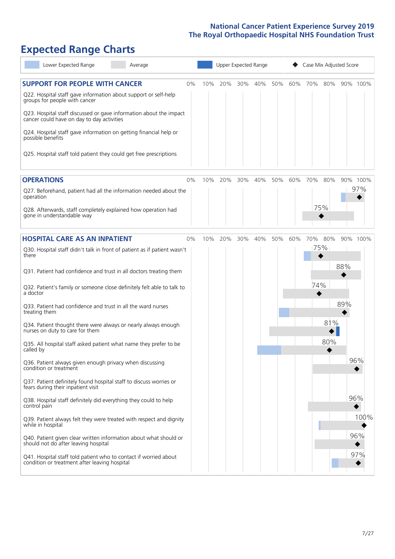# **Expected Range Charts**

| Lower Expected Range<br>Average                                                                                   |     |     | Upper Expected Range |     |     |     | Case Mix Adjusted Score |     |     |          |
|-------------------------------------------------------------------------------------------------------------------|-----|-----|----------------------|-----|-----|-----|-------------------------|-----|-----|----------|
| <b>SUPPORT FOR PEOPLE WITH CANCER</b><br>$0\%$                                                                    | 10% | 20% | 30%                  | 40% | 50% | 60% | 70%                     | 80% |     | 90% 100% |
| Q22. Hospital staff gave information about support or self-help<br>groups for people with cancer                  |     |     |                      |     |     |     |                         |     |     |          |
| Q23. Hospital staff discussed or gave information about the impact<br>cancer could have on day to day activities  |     |     |                      |     |     |     |                         |     |     |          |
| Q24. Hospital staff gave information on getting financial help or<br>possible benefits                            |     |     |                      |     |     |     |                         |     |     |          |
| Q25. Hospital staff told patient they could get free prescriptions                                                |     |     |                      |     |     |     |                         |     |     |          |
| <b>OPERATIONS</b><br>$0\%$                                                                                        | 10% | 20% | 30%                  | 40% | 50% | 60% | 70%                     | 80% |     | 90% 100% |
| Q27. Beforehand, patient had all the information needed about the<br>operation                                    |     |     |                      |     |     |     |                         |     |     | 97%      |
| Q28. Afterwards, staff completely explained how operation had<br>gone in understandable way                       |     |     |                      |     |     |     |                         | 75% |     |          |
| <b>HOSPITAL CARE AS AN INPATIENT</b><br>$0\%$                                                                     | 10% | 20% | 30%                  | 40% | 50% | 60% | 70%                     | 80% |     | 90% 100% |
| Q30. Hospital staff didn't talk in front of patient as if patient wasn't<br>there                                 |     |     |                      |     |     |     |                         | 75% |     |          |
| Q31. Patient had confidence and trust in all doctors treating them                                                |     |     |                      |     |     |     |                         |     | 88% |          |
| Q32. Patient's family or someone close definitely felt able to talk to<br>a doctor                                |     |     |                      |     |     |     | 74%                     |     |     |          |
| Q33. Patient had confidence and trust in all the ward nurses<br>treating them                                     |     |     |                      |     |     |     |                         |     | 89% |          |
| Q34. Patient thought there were always or nearly always enough<br>nurses on duty to care for them                 |     |     |                      |     |     |     |                         | 81% |     |          |
| Q35. All hospital staff asked patient what name they prefer to be<br>called by                                    |     |     |                      |     |     |     |                         | 80% |     |          |
| Q36. Patient always given enough privacy when discussing<br>condition or treatment                                |     |     |                      |     |     |     |                         |     |     | 96%      |
| Q37. Patient definitely found hospital staff to discuss worries or<br>fears during their inpatient visit          |     |     |                      |     |     |     |                         |     |     |          |
| Q38. Hospital staff definitely did everything they could to help<br>control pain                                  |     |     |                      |     |     |     |                         |     |     | 96%      |
| Q39. Patient always felt they were treated with respect and dignity<br>while in hospital                          |     |     |                      |     |     |     |                         |     |     | 100%     |
| Q40. Patient given clear written information about what should or<br>should not do after leaving hospital         |     |     |                      |     |     |     |                         |     |     | 96%      |
| Q41. Hospital staff told patient who to contact if worried about<br>condition or treatment after leaving hospital |     |     |                      |     |     |     |                         |     |     | 97%      |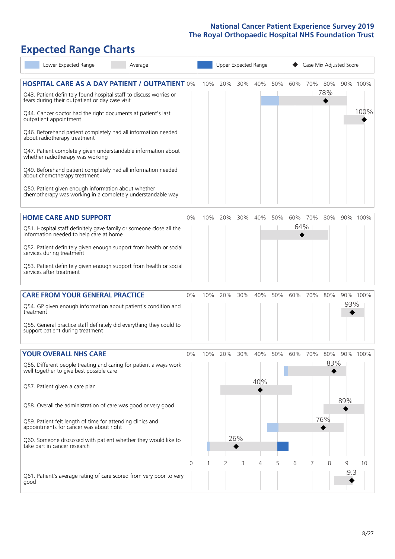# **Expected Range Charts**

|           | Lower Expected Range                                                                                                                                                                                                                                                                                                                                                                                                                                                                                                                                                                                                                                                                                   | Average |       |     | Upper Expected Range |            |            |     |                | Case Mix Adjusted Score |                   |          |                  |
|-----------|--------------------------------------------------------------------------------------------------------------------------------------------------------------------------------------------------------------------------------------------------------------------------------------------------------------------------------------------------------------------------------------------------------------------------------------------------------------------------------------------------------------------------------------------------------------------------------------------------------------------------------------------------------------------------------------------------------|---------|-------|-----|----------------------|------------|------------|-----|----------------|-------------------------|-------------------|----------|------------------|
|           | <b>HOSPITAL CARE AS A DAY PATIENT / OUTPATIENT 0%</b><br>Q43. Patient definitely found hospital staff to discuss worries or<br>fears during their outpatient or day case visit<br>Q44. Cancer doctor had the right documents at patient's last<br>outpatient appointment<br>Q46. Beforehand patient completely had all information needed<br>about radiotherapy treatment<br>Q47. Patient completely given understandable information about<br>whether radiotherapy was working<br>Q49. Beforehand patient completely had all information needed<br>about chemotherapy treatment<br>Q50. Patient given enough information about whether<br>chemotherapy was working in a completely understandable way |         |       | 10% | 20%                  | 30%        | 40%        | 50% | 60%            | 70%                     | 80%<br>78%        |          | 90% 100%<br>100% |
|           | <b>HOME CARE AND SUPPORT</b><br>Q51. Hospital staff definitely gave family or someone close all the<br>information needed to help care at home<br>Q52. Patient definitely given enough support from health or social<br>services during treatment<br>Q53. Patient definitely given enough support from health or social<br>services after treatment                                                                                                                                                                                                                                                                                                                                                    |         | 0%    | 10% | 20%                  | 30%        | 40%        | 50% | 60% 70%<br>64% |                         | 80%               |          | 90% 100%         |
| treatment | <b>CARE FROM YOUR GENERAL PRACTICE</b><br>Q54. GP given enough information about patient's condition and<br>Q55. General practice staff definitely did everything they could to<br>support patient during treatment                                                                                                                                                                                                                                                                                                                                                                                                                                                                                    |         | $0\%$ | 10% | 20%                  | 30%        | 40%        | 50% | 60%            | 70%                     | 80%               | 93%      | 90% 100%         |
|           | <b>YOUR OVERALL NHS CARE</b><br>Q56. Different people treating and caring for patient always work<br>well together to give best possible care<br>Q57. Patient given a care plan<br>Q58. Overall the administration of care was good or very good<br>Q59. Patient felt length of time for attending clinics and<br>appointments for cancer was about right<br>Q60. Someone discussed with patient whether they would like to<br>take part in cancer research                                                                                                                                                                                                                                            |         | $0\%$ | 10% | 20%                  | 30%<br>26% | 40%<br>40% | 50% | 60%            | 70%                     | 80%<br>83%<br>76% | 89%      | 90% 100%         |
| good      | Q61. Patient's average rating of care scored from very poor to very                                                                                                                                                                                                                                                                                                                                                                                                                                                                                                                                                                                                                                    |         | 0     |     | 2                    | 3          | 4          | 5   | 6              |                         | 8                 | 9<br>9.3 | 10               |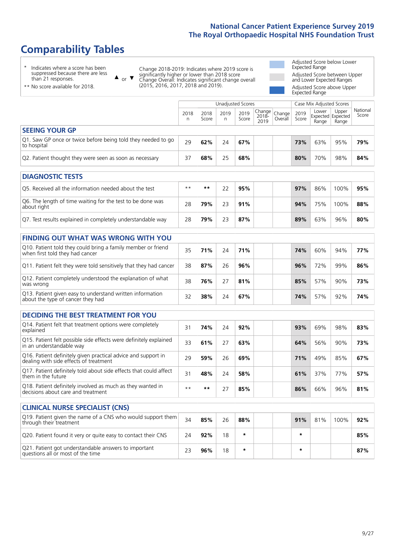### **Comparability Tables**

\* Indicates where a score has been suppressed because there are less than 21 responses.

\*\* No score available for 2018.

 $\triangle$  or  $\nabla$ 

Change 2018-2019: Indicates where 2019 score is significantly higher or lower than 2018 score Change Overall: Indicates significant change overall (2015, 2016, 2017, 2018 and 2019).

Adjusted Score below Lower Expected Range Adjusted Score between Upper and Lower Expected Ranges Adjusted Score above Upper Expected Range

|                                                                             |           |               | Unadjusted Scores |               |                                                    |         |               | Case Mix Adjusted Scores |                                     |                   |
|-----------------------------------------------------------------------------|-----------|---------------|-------------------|---------------|----------------------------------------------------|---------|---------------|--------------------------|-------------------------------------|-------------------|
|                                                                             | 2018<br>n | 2018<br>Score | 2019<br>n         | 2019<br>Score | $\sqrt{(\text{Change})^2}$ Change<br>2018-<br>2019 | Overall | 2019<br>Score | Lower<br>Range           | Upper<br>Expected Expected<br>Range | National<br>Score |
| <b>SEEING YOUR GP</b>                                                       |           |               |                   |               |                                                    |         |               |                          |                                     |                   |
| Q1. Saw GP once or twice before being told they needed to go<br>to hospital | 29        | 62%           | 24                | 67%           |                                                    |         | 73%           | 63%                      | 95%                                 | 79%               |
| Q2. Patient thought they were seen as soon as necessary                     | 37        | 68%           | 25                | 68%           |                                                    |         | 80%           | 70%                      | 98%                                 | 84%               |
| <b>DIAGNOSTIC TESTS</b>                                                     |           |               |                   |               |                                                    |         |               |                          |                                     |                   |

| O5. Received all the information needed about the test                    | $***$ | **  |    | 95% |  | 97% | 86% | 100% | 95% |
|---------------------------------------------------------------------------|-------|-----|----|-----|--|-----|-----|------|-----|
| Q6. The length of time waiting for the test to be done was<br>about right | 28    | 79% | フ3 | 91% |  | 94% | 75% | 100% | 88% |
| Q7. Test results explained in completely understandable way               | 28    | 79% |    | 87% |  | 89% | 63% | 96%  | 80% |

| <b>FINDING OUT WHAT WAS WRONG WITH YOU</b> |  |
|--------------------------------------------|--|
|                                            |  |

| Q10. Patient told they could bring a family member or friend<br>when first told they had cancer | 35 | 71% | 24 | 71% | 74% | 60% | 94% | 77% |
|-------------------------------------------------------------------------------------------------|----|-----|----|-----|-----|-----|-----|-----|
| Q11. Patient felt they were told sensitively that they had cancer                               | 38 | 87% | 26 | 96% | 96% | 72% | 99% | 86% |
| Q12. Patient completely understood the explanation of what<br>was wrong                         | 38 | 76% |    | 81% | 85% | 57% | 90% | 73% |
| Q13. Patient given easy to understand written information<br>about the type of cancer they had  |    | 38% | 24 | 67% | 74% | 57% | 92% | 74% |

| DECIDING THE BEST TREATMENT FOR YOU |  |  |  |
|-------------------------------------|--|--|--|
|-------------------------------------|--|--|--|

| Q14. Patient felt that treatment options were completely<br>explained                                   | 31   | 74% | 24 | 92% |  | 93% | 69% | 98% | 83% |
|---------------------------------------------------------------------------------------------------------|------|-----|----|-----|--|-----|-----|-----|-----|
| Q15. Patient felt possible side effects were definitely explained<br>in an understandable way           | 33   | 61% | 27 | 63% |  | 64% | 56% | 90% | 73% |
| Q16. Patient definitely given practical advice and support in<br>dealing with side effects of treatment | 29   | 59% | 26 | 69% |  | 71% | 49% | 85% | 67% |
| Q17. Patient definitely told about side effects that could affect<br>them in the future                 | 31   | 48% | 24 | 58% |  | 61% | 37% | 77% | 57% |
| Q18. Patient definitely involved as much as they wanted in<br>decisions about care and treatment        | $**$ | **  |    | 85% |  | 86% | 66% | 96% | 81% |

| <b>CLINICAL NURSE SPECIALIST (CNS)</b>                                                    |    |     |    |         |  |         |     |      |     |
|-------------------------------------------------------------------------------------------|----|-----|----|---------|--|---------|-----|------|-----|
| Q19. Patient given the name of a CNS who would support them<br>through their treatment    | 34 | 85% | 26 | 88%     |  | 91%     | 81% | 100% | 92% |
| Q20. Patient found it very or quite easy to contact their CNS                             | 24 | 92% | 18 | $\star$ |  | $\star$ |     |      | 85% |
| Q21. Patient got understandable answers to important<br>questions all or most of the time |    | 96% | 18 | $\star$ |  | $\star$ |     |      | 87% |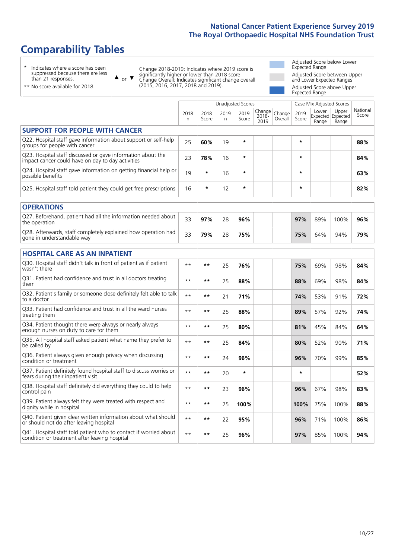### **Comparability Tables**

\* Indicates where a score has been suppressed because there are less than 21 responses.

\*\* No score available for 2018.

 $\triangle$  or  $\nabla$ 

Change 2018-2019: Indicates where 2019 score is significantly higher or lower than 2018 score Change Overall: Indicates significant change overall (2015, 2016, 2017, 2018 and 2019).

Adjusted Score below Lower Expected Range Adjusted Score between Upper and Lower Expected Ranges Adjusted Score above Upper Expected Range

|                                                                                                                   |           |               |           | <b>Unadjusted Scores</b> |                            |                   |               | Case Mix Adjusted Scores |                                     |                   |
|-------------------------------------------------------------------------------------------------------------------|-----------|---------------|-----------|--------------------------|----------------------------|-------------------|---------------|--------------------------|-------------------------------------|-------------------|
|                                                                                                                   | 2018<br>n | 2018<br>Score | 2019<br>n | 2019<br>Score            | Change<br>$2018 -$<br>2019 | Change<br>Overall | 2019<br>Score | Lower<br>Range           | Upper<br>Expected Expected<br>Range | National<br>Score |
| <b>SUPPORT FOR PEOPLE WITH CANCER</b>                                                                             |           |               |           |                          |                            |                   |               |                          |                                     |                   |
| Q22. Hospital staff gave information about support or self-help<br>groups for people with cancer                  | 25        | 60%           | 19        | $\star$                  |                            |                   | $\star$       |                          |                                     | 88%               |
| Q23. Hospital staff discussed or gave information about the<br>impact cancer could have on day to day activities  | 23        | 78%           | 16        | $\star$                  |                            |                   | *             |                          |                                     | 84%               |
| Q24. Hospital staff gave information on getting financial help or<br>possible benefits                            | 19        | $\star$       | 16        | $\star$                  |                            |                   | $\star$       |                          |                                     | 63%               |
| Q25. Hospital staff told patient they could get free prescriptions                                                | 16        | $\star$       | 12        | $\star$                  |                            |                   | *             |                          |                                     | 82%               |
| <b>OPERATIONS</b>                                                                                                 |           |               |           |                          |                            |                   |               |                          |                                     |                   |
| Q27. Beforehand, patient had all the information needed about<br>the operation                                    | 33        | 97%           | 28        | 96%                      |                            |                   | 97%           | 89%                      | 100%                                | 96%               |
| Q28. Afterwards, staff completely explained how operation had<br>gone in understandable way                       | 33        | 79%           | 28        | 75%                      |                            |                   | 75%           | 64%                      | 94%                                 | 79%               |
| <b>HOSPITAL CARE AS AN INPATIENT</b>                                                                              |           |               |           |                          |                            |                   |               |                          |                                     |                   |
| Q30. Hospital staff didn't talk in front of patient as if patient<br>wasn't there                                 | $**$      | $***$         | 25        | 76%                      |                            |                   | 75%           | 69%                      | 98%                                 | 84%               |
| Q31. Patient had confidence and trust in all doctors treating<br>them                                             | $* *$     | $***$         | 25        | 88%                      |                            |                   | 88%           | 69%                      | 98%                                 | 84%               |
| Q32. Patient's family or someone close definitely felt able to talk<br>to a doctor                                | $* *$     | $***$         | 21        | 71%                      |                            |                   | 74%           | 53%                      | 91%                                 | 72%               |
| O33. Patient had confidence and trust in all the ward nurses<br>treating them                                     | $* *$     | $***$         | 25        | 88%                      |                            |                   | 89%           | 57%                      | 92%                                 | 74%               |
| Q34. Patient thought there were always or nearly always<br>enough nurses on duty to care for them                 | $***$     | $***$         | 25        | 80%                      |                            |                   | 81%           | 45%                      | 84%                                 | 64%               |
| Q35. All hospital staff asked patient what name they prefer to<br>be called by                                    | $* *$     | $***$         | 25        | 84%                      |                            |                   | 80%           | 52%                      | 90%                                 | 71%               |
| Q36. Patient always given enough privacy when discussing<br>condition or treatment                                | $* *$     | $***$         | 24        | 96%                      |                            |                   | 96%           | 70%                      | 99%                                 | 85%               |
| Q37. Patient definitely found hospital staff to discuss worries or<br>fears during their inpatient visit          | $* *$     | $***$         | 20        | $\star$                  |                            |                   | *             |                          |                                     | 52%               |
| Q38. Hospital staff definitely did everything they could to help<br>control pain                                  | $* *$     | $***$         | 23        | 96%                      |                            |                   | 96%           | 67%                      | 98%                                 | 83%               |
| Q39. Patient always felt they were treated with respect and<br>dignity while in hospital                          | $**$      | $***$         | 25        | 100%                     |                            |                   | 100%          | 75%                      | 100%                                | 88%               |
| Q40. Patient given clear written information about what should<br>or should not do after leaving hospital         | $* *$     | $***$         | 22        | 95%                      |                            |                   | 96%           | 71%                      | 100%                                | 86%               |
| Q41. Hospital staff told patient who to contact if worried about<br>condition or treatment after leaving hospital | $* *$     | $***$         | 25        | 96%                      |                            |                   | 97%           | 85%                      | 100%                                | 94%               |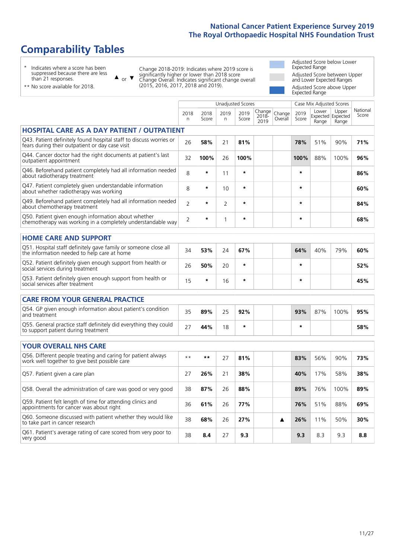Unadjusted Scores **Case Mix Adjusted Scores** 

### **Comparability Tables**

\* Indicates where a score has been suppressed because there are less than 21 responses.

or  $\blacktriangledown$  $\blacktriangle$ 

Change 2018-2019: Indicates where 2019 score is significantly higher or lower than 2018 score Change Overall: Indicates significant change overall (2015, 2016, 2017, 2018 and 2019).

Adjusted Score below Lower Expected Range Adjusted Score between Upper and Lower Expected Ranges Adjusted Score above Upper Expected Range

| ** No score available for 2018. |  |
|---------------------------------|--|
|                                 |  |

|                                                                                                                       | 2018<br>n      | 2018<br>Score | 2019<br>n    | 2019<br>Score | Change<br>2018-<br>2019 | Change<br>Overall | 2019<br>Score | Lower<br>Range | Upper<br>Expected Expected<br>Range | National<br>Score |
|-----------------------------------------------------------------------------------------------------------------------|----------------|---------------|--------------|---------------|-------------------------|-------------------|---------------|----------------|-------------------------------------|-------------------|
| <b>HOSPITAL CARE AS A DAY PATIENT / OUTPATIENT</b>                                                                    |                |               |              |               |                         |                   |               |                |                                     |                   |
| Q43. Patient definitely found hospital staff to discuss worries or<br>fears during their outpatient or day case visit | 26             | 58%           | 21           | 81%           |                         |                   | 78%           | 51%            | 90%                                 | 71%               |
| Q44. Cancer doctor had the right documents at patient's last<br>outpatient appointment                                | 32             | 100%          | 26           | 100%          |                         |                   | 100%          | 88%            | 100%                                | 96%               |
| Q46. Beforehand patient completely had all information needed<br>about radiotherapy treatment                         | 8              | $\star$       | 11           | $\star$       |                         |                   | $\star$       |                |                                     | 86%               |
| Q47. Patient completely given understandable information<br>about whether radiotherapy was working                    | 8              | *             | 10           | $\star$       |                         |                   | *             |                |                                     | 60%               |
| Q49. Beforehand patient completely had all information needed<br>about chemotherapy treatment                         | $\overline{2}$ | $\star$       | 2            | $\star$       |                         |                   | *             |                |                                     | 84%               |
| Q50. Patient given enough information about whether<br>chemotherapy was working in a completely understandable way    | $\overline{2}$ | *             | $\mathbf{1}$ | $\star$       |                         |                   | $\star$       |                |                                     | 68%               |
| <b>HOME CARE AND SUPPORT</b>                                                                                          |                |               |              |               |                         |                   |               |                |                                     |                   |
| Q51. Hospital staff definitely gave family or someone close all<br>the information needed to help care at home        | 34             | 53%           | 24           | 67%           |                         |                   | 64%           | 40%            | 79%                                 | 60%               |
| Q52. Patient definitely given enough support from health or<br>social services during treatment                       | 26             | 50%           | 20           | $\star$       |                         |                   | $\star$       |                |                                     | 52%               |
| Q53. Patient definitely given enough support from health or<br>social services after treatment                        | 15             | *             | 16           | $\star$       |                         |                   | *             |                |                                     | 45%               |
| <b>CARE FROM YOUR GENERAL PRACTICE</b>                                                                                |                |               |              |               |                         |                   |               |                |                                     |                   |
| Q54. GP given enough information about patient's condition<br>and treatment                                           | 35             | 89%           | 25           | 92%           |                         |                   | 93%           | 87%            | 100%                                | 95%               |
| Q55. General practice staff definitely did everything they could<br>to support patient during treatment               | 27             | 44%           | 18           | $\star$       |                         |                   | *             |                |                                     | 58%               |
| <b>YOUR OVERALL NHS CARE</b>                                                                                          |                |               |              |               |                         |                   |               |                |                                     |                   |
| Q56. Different people treating and caring for patient always<br>work well together to give best possible care         | $\star\star$   | **            | 27           | 81%           |                         |                   | 83%           | 56%            | 90%                                 | 73%               |
| Q57. Patient given a care plan                                                                                        | 27             | 26%           | 21           | 38%           |                         |                   | 40%           | 17%            | 58%                                 | 38%               |
| Q58. Overall the administration of care was good or very good                                                         | 38             | 87%           | 26           | 88%           |                         |                   | 89%           | 76%            | 100%                                | 89%               |
| Q59. Patient felt length of time for attending clinics and<br>appointments for cancer was about right                 | 36             | 61%           | 26           | 77%           |                         |                   | 76%           | 51%            | 88%                                 | 69%               |
| Q60. Someone discussed with patient whether they would like<br>to take part in cancer research                        | 38             | 68%           | 26           | 27%           |                         | ▲                 | 26%           | 11%            | 50%                                 | 30%               |
| Q61. Patient's average rating of care scored from very poor to<br>very good                                           | 38             | 8.4           | 27           | 9.3           |                         |                   | 9.3           | 8.3            | 9.3                                 | 8.8               |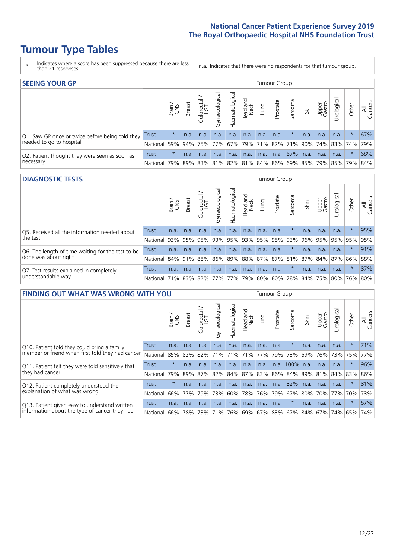### **Tumour Type Tables**

- \* Indicates where a score has been suppressed because there are less than 21 responses.
- n.a. Indicates that there were no respondents for that tumour group.

| <b>SEEING YOUR GP</b>                                      |            |               |               |                  |                |               |                  |      | Tumour Group |         |      |                 |                                                 |         |                |
|------------------------------------------------------------|------------|---------------|---------------|------------------|----------------|---------------|------------------|------|--------------|---------|------|-----------------|-------------------------------------------------|---------|----------------|
|                                                            |            | Brain.<br>CNS | <b>Breast</b> | olorectal<br>LGT | Gynaecological | Haematologica | Head and<br>Neck | Lung | Prostate     | Sarcoma | Skin | Upper<br>Gastro | Irological                                      | Other   | All<br>Cancers |
| Q1. Saw GP once or twice before being told they            | Trust      | $\star$       | n.a.          | n.a.             | n.a.           | n.a.          | n.a.             | n.a. | n.a.         | $\star$ | n.a. | n.a.            | n.a.                                            | $\star$ | 67%            |
| needed to go to hospital                                   | National   | 59%           |               |                  |                |               |                  |      |              |         |      |                 | 94% 75% 77% 67% 79% 71% 82% 71% 90% 74% 83% 74% |         | 79%            |
| Q2. Patient thought they were seen as soon as<br>necessary | Trust      | $\star$       | n.a.          | n.a.             | n.a.           | n.a.          | n.a.             | n.a. | n.a.         | 67%     | n.a. | n.a.            | n.a.                                            | $\star$ | 68%            |
|                                                            | National I | 79%           |               |                  |                |               |                  |      |              |         |      |                 | 89% 83% 81% 82% 81% 84% 86% 69% 85% 79% 85% 79% |         | 84%            |

#### **DIAGNOSTIC TESTS** Tumour Group

|                                                                |              | Brain | <b>Breast</b> | olorectal<br>LGT<br>Ü | $\overline{\sigma}$<br>Gynaecologic | Haematologica       | Head and<br>Neck | Lung | Prostate | Sarcoma | Skin | Upper<br>Gastro | Jrological                                                      | Other   | All<br>Cancers |
|----------------------------------------------------------------|--------------|-------|---------------|-----------------------|-------------------------------------|---------------------|------------------|------|----------|---------|------|-----------------|-----------------------------------------------------------------|---------|----------------|
| Q5. Received all the information needed about<br>the test      | Trust        | n.a.  | n.a.          | n.a.                  | n.a.                                | n.a.                | n.a.             | n.a. | n.a.     |         | n.a. | n.a.            | n.a.                                                            |         | 95%            |
|                                                                | National     | 93%   |               | 95% 95%               |                                     | 93% 95% 93% 95% 95% |                  |      |          | 93%     | 96%  |                 | 95% 95% 95%                                                     |         | 95%            |
| Q6. The length of time waiting for the test to be              | Trust        | n.a.  | n.a.          | n.a.                  | n.a.                                | n.a.                | n.a.             | n.a. | n.a.     |         | n.a. | n.a.            | n.a.                                                            | $\star$ | 91%            |
| done was about right                                           | National     |       | 84% 91% 88%   |                       |                                     |                     |                  |      |          |         |      |                 | 86%   89%   88%   87%   87%   81%   87%   84%   87%   86%   88% |         |                |
| Q7. Test results explained in completely<br>understandable way | Trust        | n.a.  | n.a.          | n.a.                  | n.a.                                | n.a.                | n.a.             | n.a. | n.a.     | $\star$ | n.a. | n.a.            | n.a.                                                            | $\star$ | 87%            |
|                                                                | National 71% |       |               |                       |                                     |                     |                  |      |          |         |      |                 | 83% 82% 77% 77% 79% 80% 80% 78% 84% 75% 80% 76% 80%             |         |                |

| <b>FINDING OUT WHAT WAS WRONG WITH YOU</b>                                                     |          |         |               |            |                |                         |                        |                 | <b>Tumour Group</b> |                |      |                 |           |          |                |
|------------------------------------------------------------------------------------------------|----------|---------|---------------|------------|----------------|-------------------------|------------------------|-----------------|---------------------|----------------|------|-----------------|-----------|----------|----------------|
| Trust                                                                                          |          | Brain   | <b>Breast</b> | Colorectal | Gynaecological | Haematologica           | ad and<br>Neck<br>Head | Lung            | Prostate            | Sarcoma        | Skin | Upper<br>Gastro | Urologica | Other    | All<br>Cancers |
| Q10. Patient told they could bring a family                                                    |          | n.a.    | n.a.          | n.a.       | n.a.           | n.a.                    | n.a.                   | n.a.            | n.a.                | $\star$        | n.a. | n.a.            | n.a.      | $^\star$ | 71%            |
| member or friend when first told they had cancer                                               | National | 85%     | 82%           | 82%        | 71%            | 71%                     | 71%                    | 77%             | 79%                 | 73%            | 69%  | 76%             | 73%       | 75%      | 77%            |
| Q11. Patient felt they were told sensitively that                                              | Trust    | $\star$ | n.a.          | n.a.       | n.a.           | n.a.                    | n.a.                   | n.a.            |                     | n.a. 100% n.a. |      | n.a.            | n.a.      | $^\star$ | 96%            |
| they had cancer                                                                                | National | 79%     | 89%           | 87%        | 82%            | 84% 87% 83% 86% 84% 89% |                        |                 |                     |                |      | 81%             | 84% 83%   |          | 86%            |
| Q12. Patient completely understood the                                                         | Trust    | $\star$ | n.a.          | n.a.       | n.a.           | n.a.                    | n.a.                   | n.a.            | n.a.                | 82%            | n.a. | n.a.            | n.a.      | $^\star$ | 81%            |
| explanation of what was wrong                                                                  | National | 66%     | 77%           | 79%        | 73%            | 60%                     |                        | 78% 76%         | 79%                 | 67%            | 80%  | 70%             | 77%       | 70%      | 73%            |
| Q13. Patient given easy to understand written<br>information about the type of cancer they had | Trust    | n.a.    | n.a.          | n.a.       | n.a.           | n.a.                    | n.a.                   | n.a.            | n.a.                | $\star$        | n.a. | n.a.            | n.a.      | $\ast$   | 67%            |
|                                                                                                | National | 66%     | 78%           | 73%        | 71%            | 76%                     |                        | 69%   67%   83% |                     | 67%            | 84%  | 67%             | 74%       | 65%      | 74%            |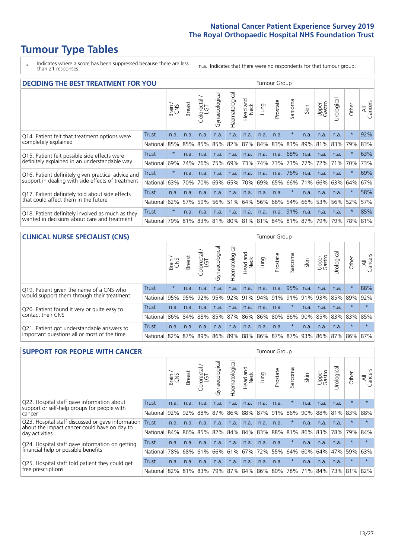### **Tumour Type Tables**

\* Indicates where a score has been suppressed because there are less than 21 responses.

n.a. Indicates that there were no respondents for that tumour group.

|                                                    | <b>DECIDING THE BEST TREATMENT FOR YOU</b> |         |               |                            |                |                |                        |      |          |                             |      |                 |            |         |                |
|----------------------------------------------------|--------------------------------------------|---------|---------------|----------------------------|----------------|----------------|------------------------|------|----------|-----------------------------|------|-----------------|------------|---------|----------------|
|                                                    |                                            | Brain   | <b>Breast</b> | olorectal<br>LGT<br>$\cup$ | Gynaecological | Haematological | ad and<br>Neck<br>Head | Lung | Prostate | Sarcoma                     | Skin | Upper<br>Gastro | Jrological | Other   | All<br>Cancers |
| Q14. Patient felt that treatment options were      | <b>Trust</b>                               | n.a.    | n.a.          | n.a.                       | n.a.           | n.a.           | n.a.                   | n.a. | n.a.     | $\star$                     | n.a. | n.a.            | n.a.       | $\star$ | 92%            |
| completely explained                               | National                                   | 85%     | 85%           | 85%                        | 85%            | 82%            | 87%                    | 84%  | 83%      | 83%                         | 89%  | 81%             | 83%        | 79%     | 83%            |
| Q15. Patient felt possible side effects were       | Trust                                      | $\star$ | n.a.          | n.a.                       | n.a.           | n.a.           | n.a.                   | n.a. | n.a.     | 68%                         | n.a. | n.a.            | n.a.       | $\star$ | 63%            |
| definitely explained in an understandable way      | National                                   | 69%     | 74%           | 76%                        | 75%            | 69%            | 73%                    | 74%  | 73%      | 73%                         | 77%  | 72%             | 71%        | 70%     | 73%            |
| Q16. Patient definitely given practical advice and | Trust                                      | $\star$ | n.a.          | n.a.                       | n.a.           | n.a.           | n.a.                   | n.a. | n.a.     | 76%                         | n.a. | n.a.            | n.a.       | $\star$ | 69%            |
| support in dealing with side effects of treatment  | National                                   | 63%     | 70%           | 70%                        | 69%            | 65%            | 70%                    | 69%  | 65%      | 66%                         | 71%  | 66%             | 63%        | 64%     | 67%            |
| Q17. Patient definitely told about side effects    | Trust                                      | n.a.    | n.a.          | n.a.                       | n.a.           | n.a.           | n.a.                   | n.a. | n.a.     | $\star$                     | n.a. | n.a.            | n.a.       | $\star$ | 58%            |
| that could affect them in the future               | National                                   | 62%     | 57%           | 59%                        | 56%            | 51%            | 64%                    | 56%  | 66%      | 54%                         | 66%  | 53%             | 56%        | 52%     | 57%            |
| Q18. Patient definitely involved as much as they   | Trust                                      | $\star$ | n.a.          | n.a.                       | n.a.           | n.a.           | n.a.                   | n.a. | n.a.     | 91%                         | n.a. | n.a.            | n.a.       | $\ast$  | 85%            |
| wanted in decisions about care and treatment       | National                                   | 79%     |               | 81% 83%                    |                |                |                        |      |          | 81% 80% 81% 81% 84% 81% 87% |      | 79%             | 79%        | 78%     | 81%            |

#### **CLINICAL NURSE SPECIALIST (CNS)** Tumour Group

|                                                                                           |          | Brain   | <b>Breast</b>         | Colorectal<br>LGT | Gynaecologica | aematological | Head and<br>Neck | Lung | Prostate | Sarcoma | Skin | Upper<br>Gastro                                     | σ<br>Irologica | Other   | All<br>Cancers |
|-------------------------------------------------------------------------------------------|----------|---------|-----------------------|-------------------|---------------|---------------|------------------|------|----------|---------|------|-----------------------------------------------------|----------------|---------|----------------|
|                                                                                           |          |         |                       |                   |               |               |                  |      |          |         |      |                                                     |                |         |                |
| Q19. Patient given the name of a CNS who                                                  | Trust    | $\star$ | n.a.                  | n.a.              | n.a.          | n.a.          | n.a.             | n.a. | n.a.     | 95%     | n.a. | n.a.                                                | n.a.           | $\ast$  | 88%            |
| would support them through their treatment                                                | National |         | 95% 95% 92% 95%       |                   |               |               |                  |      |          |         |      | 92%   91%   94%   91%   91%   91%   93%             | 85% 89%        |         | 92%            |
| Q20. Patient found it very or quite easy to                                               | Trust    | n.a.    | n.a.                  | n.a.              | n.a.          | n.a.          | n.a.             | n.a. | n.a.     | $\star$ | n.a. | n.a.                                                | n.a.           | $\star$ |                |
| contact their CNS                                                                         | National |         | 86% 84% 88% 85%       |                   |               |               |                  |      |          |         |      | 87% 86% 86% 80% 86% 90% 85%                         |                | 83% 83% | 85%            |
| Q21. Patient got understandable answers to<br>important questions all or most of the time | Trust    | n.a.    | n.a.                  | n.a.              | n.a.          | n.a.          | n.a.             | n.a. | n.a.     | $\star$ | n.a. | n.a.                                                | n.a.           | $\star$ |                |
|                                                                                           | National |         | 82%   87%   89%   86% |                   |               |               |                  |      |          |         |      | 89%   88%   86%   87%   87%   93%   86%   87%   86% |                |         | 87%            |

| <b>SUPPORT FOR PEOPLE WITH CANCER</b>                                                             |          |       |               |                 |                |                |                  |             |          |         |      |                 |           |         |                |
|---------------------------------------------------------------------------------------------------|----------|-------|---------------|-----------------|----------------|----------------|------------------|-------------|----------|---------|------|-----------------|-----------|---------|----------------|
| Q22. Hospital staff gave information about<br><b>Trust</b>                                        |          | Brain | <b>Breast</b> | ∽<br>Colorectal | Gynaecological | Haematological | Head and<br>Neck | <b>Dung</b> | Prostate | Sarcoma | Skin | Upper<br>Gastro | rological | Other   | All<br>Cancers |
| support or self-help groups for people with<br>cancer                                             |          | n.a.  | n.a.          | n.a.            | n.a.           | n.a.           | n.a.             | n.a.        | n.a.     | $\star$ | n.a. | n.a.            | n.a.      | $\star$ |                |
|                                                                                                   | National | 92%   | 92%           | 88%             | 87%            | 86%            | 88%              |             | 87% 91%  | 86%     | 90%  | 88%             | 81%       | 83%     | 88%            |
| Q23. Hospital staff discussed or gave information<br>about the impact cancer could have on day to | Trust    | n.a.  | n.a.          | n.a.            | n.a.           | n.a.           | n.a.             | n.a.        | n.a.     | $\star$ | n.a. | n.a.            | n.a.      | $\star$ |                |
| day activities                                                                                    | National | 84%   | 86%           | 85%             | 82%            | 84%            | 84%              | 83%         | 88%      | 81%     | 86%  | 83%             | 78%       | 79%     | 84%            |
| Q24. Hospital staff gave information on getting                                                   | Trust    | n.a.  | n.a.          | n.a.            | n.a.           | n.a.           | n.a.             | n.a.        | n.a.     | 头       | n.a. | n.a.            | n.a.      | $\star$ |                |
| financial help or possible benefits                                                               | National | 78%   |               | 68% 61%         | 66%            | 61%            | 67%              | 72%         | 55%      | 64%     | 60%  | 64%             | 47%       | 59%     | 63%            |
| Q25. Hospital staff told patient they could get<br>free prescriptions                             | Trust    | n.a.  | n.a.          | n.a.            | n.a.           | n.a.           | n.a.             | n.a.        | n.a.     | $\star$ | n.a. | n.a.            | n.a.      | $\star$ | $\star$        |
|                                                                                                   | National |       | 82% 81% 83%   |                 | 79%            |                | 87% 84% 86% 80%  |             |          | 78%     |      | 71% 84%         |           | 73% 81% | 82%            |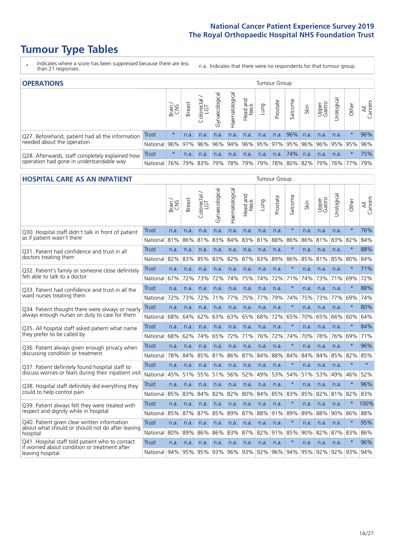### **Tumour Type Tables**

- \* Indicates where a score has been suppressed because there are less than 21 responses.
- n.a. Indicates that there were no respondents for that tumour group.

| <b>OPERATIONS</b>                                |              | Tumour Group |               |            |                   |                |                                     |      |          |         |      |                 |                       |         |                |
|--------------------------------------------------|--------------|--------------|---------------|------------|-------------------|----------------|-------------------------------------|------|----------|---------|------|-----------------|-----------------------|---------|----------------|
|                                                  |              | Brain<br>CNS | <b>Breast</b> | Colorectal | ত<br>Gynaecologic | Haematological | Head and<br>Neck                    | Lung | Prostate | Sarcoma | Skin | Upper<br>Gastro | $\sigma$<br>Jrologica | Other   | All<br>Cancers |
| Q27. Beforehand, patient had all the information | Trust        | $\star$      | n.a.          | n.a.       | n.a.              | n.a.           | n.a.                                | n.a. | n.a.     | 96%     | n.a. | n.a.            | n.a.                  |         | 96%            |
| needed about the operation                       | National     | 96%          | 97%           | 96%        | $96\%$            |                | 94%   96%   95%   97%   95%   96%   |      |          |         |      |                 | 96%   95%   95%       |         | 96%            |
| Q28. Afterwards, staff completely explained how  | <b>Trust</b> | $\star$      | n.a.          | n.a.       | n.a.              | n.a.           | n.a.                                | n.a. | n.a.     | 74%     | n.a. | n.a.            | n.a.                  | $\star$ | 75%            |
| operation had gone in understandable way         | National     | 76%          |               | 79% 83%    | 79%               |                | 78% 79% 79% 78% 80% 82% 79% 76% 77% |      |          |         |      |                 |                       |         | 79%            |

#### **HOSPITAL CARE AS AN INPATIENT** Tumour Group

|                                                                                                  |              | Brain | Breast | Colorectal /<br>LGT | Gynaecological | Haematological | Head and<br>Neck | Lung | Prostate | Sarcoma | Skin | Upper<br>Gastro | Urological | Other   | All<br>Cancers |
|--------------------------------------------------------------------------------------------------|--------------|-------|--------|---------------------|----------------|----------------|------------------|------|----------|---------|------|-----------------|------------|---------|----------------|
| Q30. Hospital staff didn't talk in front of patient                                              | Trust        | n.a.  | n.a.   | n.a.                | n.a.           | n.a.           | n.a.             | n.a. | n.a.     | $\star$ | n.a. | n.a.            | n.a.       | $\star$ | 76%            |
| as if patient wasn't there                                                                       | National     | 81%   | 86%    | 81%                 | 83%            | 84%            | 83%              | 81%  | 88%      | 86%     | 86%  | 81%             | 83%        | 82%     | 84%            |
| Q31. Patient had confidence and trust in all                                                     | Trust        | n.a.  | n.a.   | n.a.                | n.a.           | n.a.           | n.a.             | n.a. | n.a.     | $\star$ | n.a. | n.a.            | n.a.       | $\ast$  | 88%            |
| doctors treating them                                                                            | National     | 82%   | 83%    | 85%                 | 83%            | 82%            | 87%              | 83%  | 89%      | 86%     | 85%  | 81%             | 85%        | 80%     | 84%            |
| Q32. Patient's family or someone close definitely                                                | Trust        | n.a.  | n.a.   | n.a.                | n.a.           | n.a.           | n.a.             | n.a. | n.a.     | $\star$ | n.a. | n.a.            | n.a.       | $\star$ | 71%            |
| felt able to talk to a doctor                                                                    | National     | 67%   | 72%    | 73%                 | 72%            | 74%            | 75%              | 74%  | 72%      | 71%     | 74%  | 73%             | 71%        | 69%     | 72%            |
| O33. Patient had confidence and trust in all the                                                 | <b>Trust</b> | n.a.  | n.a.   | n.a.                | n.a.           | n.a.           | n.a.             | n.a. | n.a.     | $\star$ | n.a. | n.a.            | n.a.       | $\star$ | 88%            |
| ward nurses treating them                                                                        | National     | 72%   | 73%    | 72%                 | 71%            | 77%            | 75%              | 77%  | 79%      | 74%     | 75%  | 73%             | 77%        | 69%     | 74%            |
| Q34. Patient thought there were always or nearly                                                 | <b>Trust</b> | n.a.  | n.a.   | n.a.                | n.a.           | n.a.           | n.a.             | n.a. | n.a.     | $\star$ | n.a. | n.a.            | n.a.       | $\star$ | 80%            |
| always enough nurses on duty to care for them                                                    | National     | 68%   | 64%    | 62%                 | 63%            | 63%            | 65%              | 68%  | 72%      | 65%     | 70%  | 65%             | 66%        | 60%     | 64%            |
| Q35. All hospital staff asked patient what name                                                  | <b>Trust</b> | n.a.  | n.a.   | n.a.                | n.a.           | n.a.           | n.a.             | n.a. | n.a.     | $\star$ | n.a. | n.a.            | n.a.       | $\star$ | 84%            |
| they prefer to be called by                                                                      | National     | 68%   | 62%    | 74%                 | 65%            | 72%            | 71%              | 76%  | 72%      | 74%     | 70%  | 78%             | 76%        | 69%     | 71%            |
| Q36. Patient always given enough privacy when                                                    | <b>Trust</b> | n.a.  | n.a.   | n.a.                | n.a.           | n.a.           | n.a.             | n.a. | n.a.     | $\star$ | n.a. | n.a.            | n.a.       | $\star$ | 96%            |
| discussing condition or treatment                                                                | National     | 78%   | 84%    | 85%                 | 81%            | 86%            | 87%              | 84%  | 88%      | 84%     | 84%  | 84%             | 85%        | 82%     | 85%            |
| Q37. Patient definitely found hospital staff to                                                  | <b>Trust</b> | n.a.  | n.a.   | n.a.                | n.a.           | n.a.           | n.a.             | n.a. | n.a.     | $\star$ | n.a. | n.a.            | n.a.       | $\star$ | $\star$        |
| discuss worries or fears during their inpatient visit                                            | National     | 45%   | 51%    | 55%                 | 51%            | 56%            | 52%              | 49%  | 53%      | 54%     | 51%  | 53%             | 49%        | 46%     | 52%            |
| Q38. Hospital staff definitely did everything they                                               | <b>Trust</b> | n.a.  | n.a.   | n.a.                | n.a.           | n.a.           | n.a.             | n.a. | n.a.     | $\star$ | n.a. | n.a.            | n.a.       | $\star$ | 96%            |
| could to help control pain                                                                       | National     | 85%   | 83%    | 84%                 | 82%            | 82%            | 80%              | 84%  | 85%      | 83%     | 85%  | 82%             | 81%        | 82%     | 83%            |
| Q39. Patient always felt they were treated with                                                  | Trust        | n.a.  | n.a.   | n.a.                | n.a.           | n.a.           | n.a.             | n.a. | n.a.     | $\star$ | n.a. | n.a.            | n.a.       | $\star$ | 100%           |
| respect and dignity while in hospital                                                            | National     | 85%   | 87%    | 87%                 | 85%            | 89%            | 87%              | 88%  | 91%      | 89%     | 89%  | 88%             | 90%        | 86%     | 88%            |
| Q40. Patient given clear written information<br>about what should or should not do after leaving | <b>Trust</b> | n.a.  | n.a.   | n.a.                | n.a.           | n.a.           | n.a.             | n.a. | n.a.     | $\star$ | n.a. | n.a.            | n.a.       | $\star$ | 95%            |
| hospital                                                                                         | National     | 80%   | 89%    | 86%                 | 86%            | 83%            | 87%              | 82%  | 91%      | 85%     | 90%  | 82%             | 87%        | 83%     | 86%            |
| Q41. Hospital staff told patient who to contact<br>if worried about condition or treatment after | Trust        | n.a.  | n.a.   | n.a.                | n.a.           | n.a.           | n.a.             | n.a. | n.a.     | $\star$ | n.a. | n.a.            | n.a.       | $\star$ | 96%            |
| leaving hospital                                                                                 | National     | 94%   | 95%    | 95%                 | 93%            | 96%            | 93%              | 92%  | 96%      | 94%     | 95%  | 92%             | 92%        | 93%     | 94%            |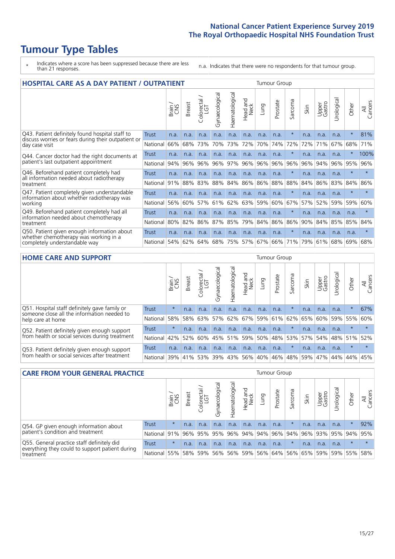### **Tumour Type Tables**

\* Indicates where a score has been suppressed because there are less than 21 responses.

n.a. Indicates that there were no respondents for that tumour group.

| <b>HOSPITAL CARE AS A DAY PATIENT / OUTPATIENT</b>                                                     | <b>Tumour Group</b> |       |               |                            |                |                |                                 |      |          |         |      |                 |            |         |                |
|--------------------------------------------------------------------------------------------------------|---------------------|-------|---------------|----------------------------|----------------|----------------|---------------------------------|------|----------|---------|------|-----------------|------------|---------|----------------|
|                                                                                                        |                     | Brain | <b>Breast</b> | ╮<br>olorectal<br>LGT<br>Ũ | Gynaecological | Haematological | <b>Bad and<br/>Neck</b><br>Head | Lung | Prostate | Sarcoma | Skin | Upper<br>Gastro | Urological | Other   | All<br>Cancers |
| Q43. Patient definitely found hospital staff to<br>discuss worries or fears during their outpatient or | Trust               | n.a.  | n.a.          | n.a.                       | n.a.           | n.a.           | n.a.                            | n.a. | n.a.     | $\star$ | n.a. | n.a.            | n.a.       | $\star$ | 81%            |
| day case visit                                                                                         | National            | 66%   | 68%           | 73%                        | 70%            | 73%            | 72%                             | 70%  | 74%      | 72%     | 72%  | 71%             | 67%        | 68%     | 71%            |
| Q44. Cancer doctor had the right documents at                                                          | Trust               | n.a.  | n.a.          | n.a.                       | n.a.           | n.a.           | n.a.                            | n.a. | n.a.     | $\star$ | n.a. | n.a.            | n.a.       | $\star$ | 100%           |
| patient's last outpatient appointment                                                                  | National            | 94%   | 96%           | 96%                        | 96%            | 97%            | 96%                             | 96%  | 96%      | 96%     | 96%  | 94%             | 96%        | 95%     | 96%            |
| Q46. Beforehand patient completely had                                                                 | Trust               | n.a.  | n.a.          | n.a.                       | n.a.           | n.a.           | n.a.                            | n.a. | n.a.     | $\star$ | n.a. | n.a.            | n.a.       | $\star$ | $\star$        |
| all information needed about radiotherapy<br>treatment                                                 | National            | 91%   | 88%           | 83%                        | 88%            | 84%            | 86%                             | 86%  | 88%      | 88%     | 84%  | 86%             | 83%        | 84%     | 86%            |
| Q47. Patient completely given understandable                                                           | Trust               | n.a.  | n.a.          | n.a.                       | n.a.           | n.a.           | n.a.                            | n.a. | n.a.     | $\ast$  | n.a. | n.a.            | n.a.       | $\star$ | $\star$        |
| information about whether radiotherapy was<br>working                                                  | National            | 56%   | 60%           | 57%                        | 61%            | 62%            | 63%                             | 59%  | 60%      | 67%     | 57%  | 52%             | 59%        | 59%     | 60%            |
| Q49. Beforehand patient completely had all                                                             | Trust               | n.a.  | n.a.          | n.a.                       | n.a.           | n.a.           | n.a.                            | n.a. | n.a.     | $\star$ | n.a. | n.a.            | n.a.       | n.a.    | $\star$        |
| information needed about chemotherapy<br>treatment                                                     | National            | 80%   | 82%           | 86%                        | 87%            | 85%            | 79%                             | 84%  | 86%      | 86%     | 90%  | 84%             | 85%        | 85%     | 84%            |
| Q50. Patient given enough information about<br>whether chemotherapy was working in a                   | <b>Trust</b>        | n.a.  | n.a.          | n.a.                       | n.a.           | n.a.           | n.a.                            | n.a. | n.a.     | $\ast$  | n.a. | n.a.            | n.a.       | n.a.    | $\star$        |
| completely understandable way                                                                          | National            | 54%   | 62%           | 64%                        | 68%            | 75%            | 57%                             | 67%  | 66%      | 71%     | 79%  | 61%             | 68%        | 69%     | 68%            |

#### **HOME CARE AND SUPPORT** Tumour Group

|                                                                                              |              | Brain   | <b>Breast</b> | Colorectal<br>LGT | Gynaecological | Haematological | Head and<br>Neck | Lung    | Prostate | Sarcoma | Skin                        | Upper<br>Gastro | Urological      | Other   | All<br>Cancers |
|----------------------------------------------------------------------------------------------|--------------|---------|---------------|-------------------|----------------|----------------|------------------|---------|----------|---------|-----------------------------|-----------------|-----------------|---------|----------------|
| Q51. Hospital staff definitely gave family or<br>someone close all the information needed to | <b>Trust</b> | $\star$ | n.a.          | n.a.              | n.a.           | n.a.           | n.a.             | n.a.    | n.a.     |         | n.a.                        | n.a.            | n.a.            | $\star$ | 67%            |
| help care at home                                                                            | National     | 58%     |               | 58% 63%           |                |                |                  |         |          |         | 57% 62% 67% 59% 61% 62% 65% |                 | 60%   59%   55% |         | 60%            |
| Q52. Patient definitely given enough support                                                 | Trust        | $\star$ | n.a.          | n.a.              | n.a.           | n.a.           | n.a.             | n.a.    | n.a.     |         | n.a.                        | n.a.            | n.a.            | $\star$ |                |
| from health or social services during treatment                                              | National     | 42%     | 52%           | 60%               |                | 45% 51%        |                  | 59% 50% |          |         | 48%   53%   57%             |                 | 54%   48%   51% |         | 52%            |
| Q53. Patient definitely given enough support                                                 | Trust        | n.a.    | n.a.          | n.a.              | n.a.           | n.a.           | n.a.             | n.a.    | n.a.     |         | n.a.                        | n.a.            | n.a.            | $\star$ |                |
| from health or social services after treatment                                               | National 39% |         | 41% 53%       |                   | 39%            | $ 43\% $       |                  | 56% 40% | 46%      |         | 48% 59%                     |                 | 47%   44%       | 44%     | 45%            |
|                                                                                              |              |         |               |                   |                |                |                  |         |          |         |                             |                 |                 |         |                |

| <b>CARE FROM YOUR GENERAL PRACTICE</b>                                                        | Tumour Group |         |               |                   |                   |                |                  |      |                                                     |         |      |                 |           |         |                |
|-----------------------------------------------------------------------------------------------|--------------|---------|---------------|-------------------|-------------------|----------------|------------------|------|-----------------------------------------------------|---------|------|-----------------|-----------|---------|----------------|
|                                                                                               |              | Brain   | <b>Breast</b> | Colorectal<br>LGT | σ<br>Gynaecologic | Haematological | Head and<br>Neck | Lung | Prostate                                            | Sarcoma | Skin | Upper<br>Gastro | Urologica | Other   | All<br>Cancers |
| Q54. GP given enough information about                                                        | <b>Trust</b> | $\star$ | n.a.          | n.a.              | n.a.              | n.a.           | n.a.             | n.a. | n.a.                                                |         | n.a. | n.a.            | n.a.      |         | 92%            |
| patient's condition and treatment                                                             | National     | 91%     |               |                   |                   |                |                  |      | 96% 95% 95% 96% 94% 94% 96% 94% 96% 93% 95% 94% 95% |         |      |                 |           |         |                |
| Q55. General practice staff definitely did<br>everything they could to support patient during | <b>Trust</b> | $\star$ | n.a.          | n.a.              | n.a.              | n.a.           | n.a.             | n.a. | n.a.                                                | $\star$ | n.a. | n.a.            | n.a.      | $\star$ | $\star$        |
| treatment                                                                                     | National     | 55%     |               | 58% 59%           |                   |                | 56% 56% 59%      |      | 56% 64% 56% 65% 59% 59% 55%                         |         |      |                 |           |         | 58%            |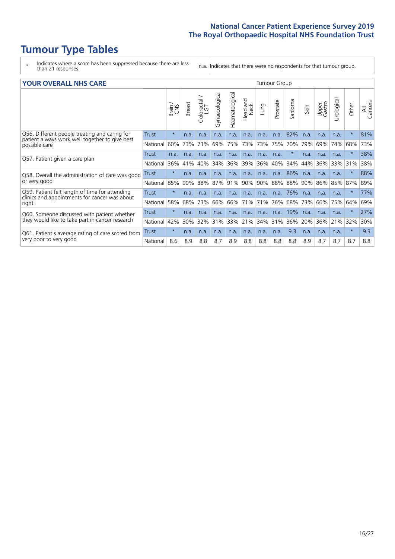### **Tumour Type Tables**

- \* Indicates where a score has been suppressed because there are less than 21 responses.
- n.a. Indicates that there were no respondents for that tumour group.

|  | <b>YOUR OVERALL NHS CARE</b> |  |  |
|--|------------------------------|--|--|
|--|------------------------------|--|--|

| YOUR OVERALL NHS CARE                                                                           |          | Tumour Group |               |                          |                |                |                  |      |          |         |      |                 |               |          |                |
|-------------------------------------------------------------------------------------------------|----------|--------------|---------------|--------------------------|----------------|----------------|------------------|------|----------|---------|------|-----------------|---------------|----------|----------------|
|                                                                                                 |          | Brain        | <b>Breast</b> | colorectal /<br>LGT<br>Ü | Gynaecological | Haematological | Head and<br>Neck | Lung | Prostate | Sarcoma | Skin | Upper<br>Gastro | ತ<br>Urologia | Other    | All<br>Cancers |
| Q56. Different people treating and caring for<br>patient always work well together to give best | Trust    | $\star$      | n.a.          | n.a.                     | n.a.           | n.a.           | n.a.             | n.a. | n.a.     | 82%     | n.a. | n.a.            | n.a.          | $\ast$   | 81%            |
| possible care                                                                                   | National | 60%          | 73%           | 73%                      | 69%            | 75%            | 73%              | 73%  | 75%      | 70%     | 79%  | 69%             | 74%           | 68%      | 73%            |
| Q57. Patient given a care plan                                                                  | Trust    | n.a.         | n.a.          | n.a.                     | n.a.           | n.a.           | n.a.             | n.a. | n.a.     | $\ast$  | n.a. | n.a.            | n.a.          |          | 38%            |
|                                                                                                 | National | 36%          | 41%           | 40%                      | 34%            | 36%            | 39%              | 36%  | 40%      | 34%     | 44%  | 36%             | 33%           | 31%      | 38%            |
| Q58. Overall the administration of care was good                                                | Trust    | $\star$      | n.a.          | n.a.                     | n.a.           | n.a.           | n.a.             | n.a. | n.a.     | 86%     | n.a. | n.a.            | n.a.          | $^\star$ | 88%            |
| or very good                                                                                    | National | 85%          | 90%           | 88%                      | 87%            | 91%            | 90%              | 90%  | 88%      | 88%     | 90%  | 86%             | 85%           | 87%      | 89%            |
| Q59. Patient felt length of time for attending                                                  | Trust    | $\star$      | n.a.          | n.a.                     | n.a.           | n.a.           | n.a.             | n.a. | n.a.     | 76%     | n.a. | n.a.            | n.a.          | $\star$  | 77%            |
| clinics and appointments for cancer was about<br>right                                          | National | 58%          | 68%           | 73%                      | 66%            | 66%            | 71%              | 71%  | 76%      | 68%     | 73%  | 66%             | 75%           | 64%      | 69%            |
| Q60. Someone discussed with patient whether                                                     | Trust    | $\star$      | n.a.          | n.a.                     | n.a.           | n.a.           | n.a.             | n.a. | n.a.     | 19%     | n.a. | n.a.            | n.a.          | $\ast$   | 27%            |
| they would like to take part in cancer research                                                 | National | 42%          | 30%           | 32%                      | 31%            | 33%            | 21%              | 34%  | 31%      | 36%     | 20%  | 36%             | 21%           | 32%      | 30%            |
| Q61. Patient's average rating of care scored from                                               | Trust    | $\star$      | n.a.          | n.a.                     | n.a.           | n.a.           | n.a.             | n.a. | n.a.     | 9.3     | n.a. | n.a.            | n.a.          | $\ast$   | 9.3            |
| very poor to very good                                                                          | National | 8.6          | 8.9           | 8.8                      | 8.7            | 8.9            | 8.8              | 8.8  | 8.8      | 8.8     | 8.9  | 8.7             | 8.7           | 8.7      | 8.8            |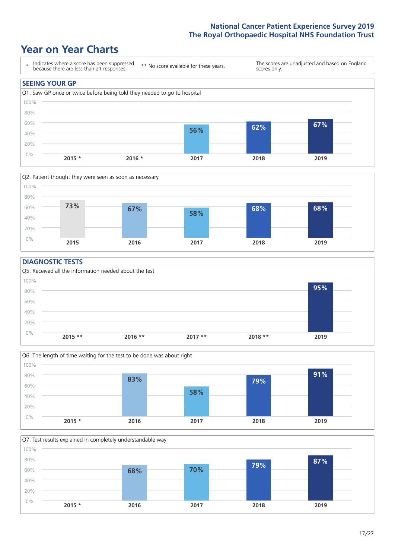### **Year on Year Charts**





### **DIAGNOSTIC TESTS**





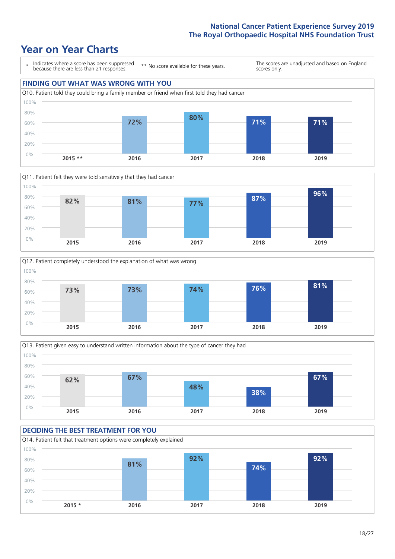







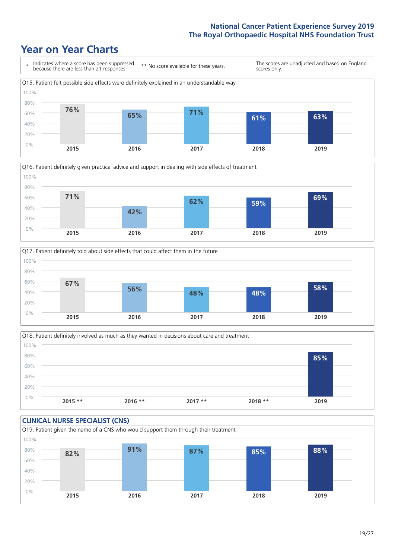





Q18. Patient definitely involved as much as they wanted in decisions about care and treatment  $0%$ 20% 40% 60% 80% 100% **2015 \*\* 2016 \*\* 2017 \*\* 2018 \*\* 2019 85%**

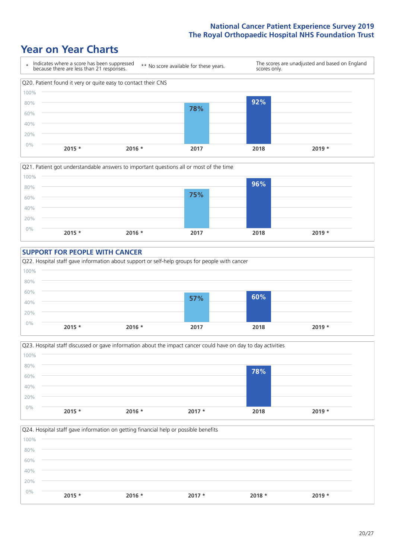







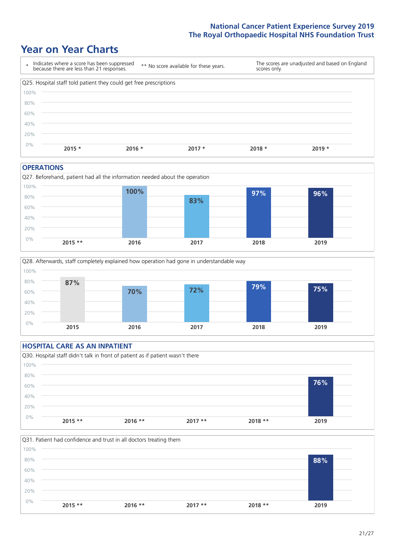### **Year on Year Charts**

| $\star$ | Indicates where a score has been suppressed<br>because there are less than 21 responses. | ** No score available for these years. |          | scores only. | The scores are unadjusted and based on England |
|---------|------------------------------------------------------------------------------------------|----------------------------------------|----------|--------------|------------------------------------------------|
|         | Q25. Hospital staff told patient they could get free prescriptions                       |                                        |          |              |                                                |
| 100%    |                                                                                          |                                        |          |              |                                                |
| 80%     |                                                                                          |                                        |          |              |                                                |
| 60%     |                                                                                          |                                        |          |              |                                                |
| 40%     |                                                                                          |                                        |          |              |                                                |
| 20%     |                                                                                          |                                        |          |              |                                                |
| 0%      | $2015 *$                                                                                 | $2016 *$                               | $2017 *$ | $2018 *$     | $2019 *$                                       |

#### **OPERATIONS**





### **HOSPITAL CARE AS AN INPATIENT** Q30. Hospital staff didn't talk in front of patient as if patient wasn't there 0% 20% 40% 60% 80% 100% **2015 \*\* 2016 \*\* 2017 \*\* 2018 \*\* 2019 76%**

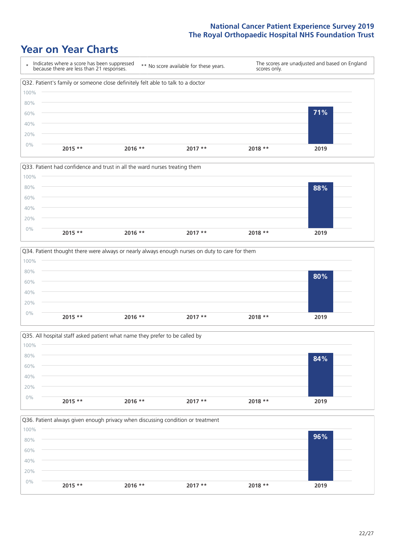







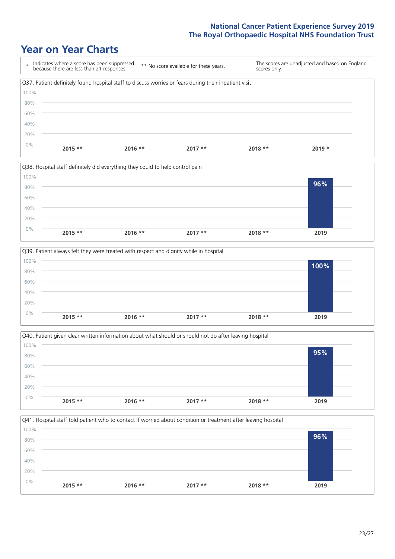### **Year on Year Charts**

| $\star$ | Indicates where a score has been suppressed<br>because there are less than 21 responses.              | ** No score available for these years. | scores only. | The scores are unadjusted and based on England |
|---------|-------------------------------------------------------------------------------------------------------|----------------------------------------|--------------|------------------------------------------------|
|         | Q37. Patient definitely found hospital staff to discuss worries or fears during their inpatient visit |                                        |              |                                                |
| 100%    |                                                                                                       |                                        |              |                                                |
| 80%     |                                                                                                       |                                        |              |                                                |
| 60%     |                                                                                                       |                                        |              |                                                |
| 40%     |                                                                                                       |                                        |              |                                                |
| 20%     |                                                                                                       |                                        |              |                                                |
| 0%      | $2015$ **<br>$2016$ **                                                                                | $2017**$                               | $2018**$     | $2019 *$                                       |









 $23/27$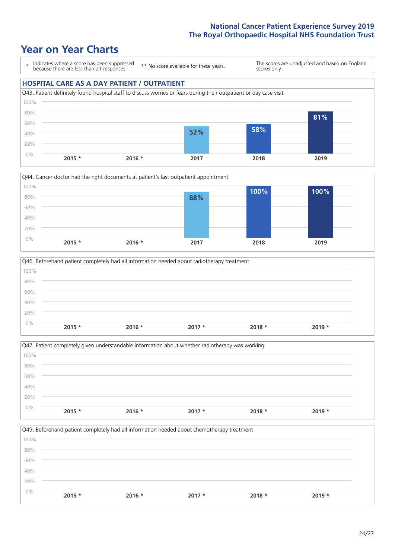### **Year on Year Charts**

\* Indicates where a score has been suppressed because there are less than 21 responses. \*\* No score available for these years.

The scores are unadjusted and based on England scores only.

#### **HOSPITAL CARE AS A DAY PATIENT / OUTPATIENT**







|       |          |          | Q47. Patient completely given understandable information about whether radiotherapy was working |          |          |  |
|-------|----------|----------|-------------------------------------------------------------------------------------------------|----------|----------|--|
| 100%  |          |          |                                                                                                 |          |          |  |
| 80%   |          |          |                                                                                                 |          |          |  |
| 60%   |          |          |                                                                                                 |          |          |  |
| 40%   |          |          |                                                                                                 |          |          |  |
| 20%   |          |          |                                                                                                 |          |          |  |
| $0\%$ | $2015 *$ | $2016 *$ | $2017 *$                                                                                        | $2018 *$ | $2019 *$ |  |

Q49. Beforehand patient completely had all information needed about chemotherapy treatment 0% 20% 40% 60% 80% 100% **2015 \* 2016 \* 2017 \* 2018 \* 2019 \***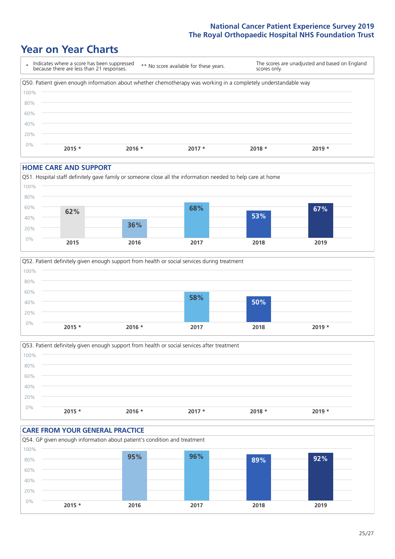### **Year on Year Charts**



#### **HOME CARE AND SUPPORT**







### **CARE FROM YOUR GENERAL PRACTICE** Q54. GP given enough information about patient's condition and treatment 0% 20% 40% 60% 80% 100% **2015 \* 2016 2017 2018 2019 95% 96% 89% 92%**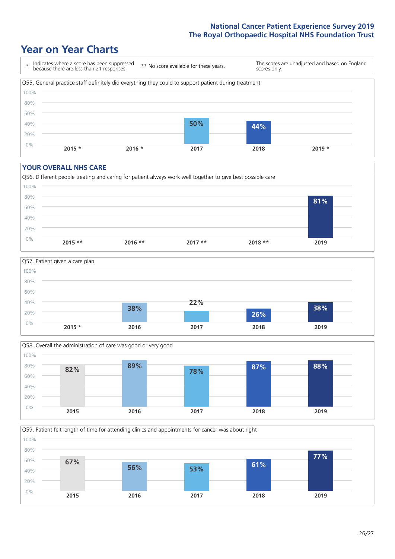### **Year on Year Charts**



#### **YOUR OVERALL NHS CARE**







Q59. Patient felt length of time for attending clinics and appointments for cancer was about right 0% 20% 40% 60% 80% 100% **2015 2016 2017 2018 2019 67% 56% 53% 61% 77%**